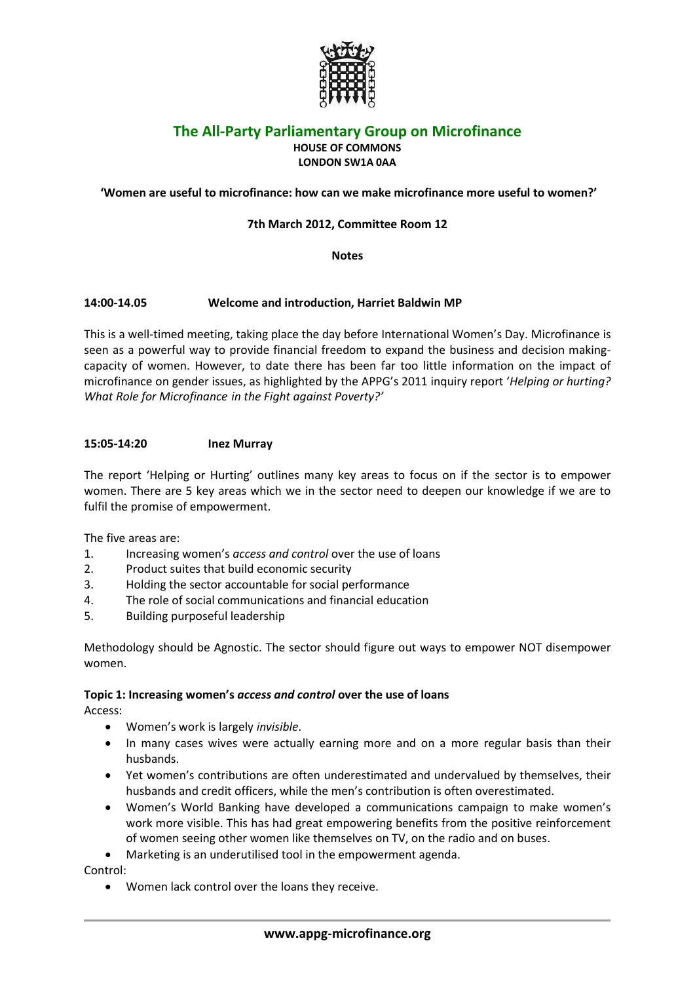

# **The All-Party Parliamentary Group on Microfinance**

**HOUSE OF COMMONS LONDON SW1A 0AA**

# **'Women are useful to microfinance: how can we make microfinance more useful to women?'**

# **7th March 2012, Committee Room 12**

**Notes**

# **14:00-14.05 Welcome and introduction, Harriet Baldwin MP**

This is a well-timed meeting, taking place the day before International Women's Day. Microfinance is seen as a powerful way to provide financial freedom to expand the business and decision makingcapacity of women. However, to date there has been far too little information on the impact of microfinance on gender issues, as highlighted by the APPG's 2011 inquiry report '*Helping or hurting? What Role for Microfinance in the Fight against Poverty?'*

## **15:05-14:20 Inez Murray**

The report 'Helping or Hurting' outlines many key areas to focus on if the sector is to empower women. There are 5 key areas which we in the sector need to deepen our knowledge if we are to fulfil the promise of empowerment.

The five areas are:

- 1. Increasing women's *access and control* over the use of loans
- 2. Product suites that build economic security
- 3. Holding the sector accountable for social performance
- 4. The role of social communications and financial education
- 5. Building purposeful leadership

Methodology should be Agnostic. The sector should figure out ways to empower NOT disempower women.

# **Topic 1: Increasing women's** *access and control* **over the use of loans**

Access:

- Women's work is largely *invisible*.
- In many cases wives were actually earning more and on a more regular basis than their husbands.
- Yet women's contributions are often underestimated and undervalued by themselves, their husbands and credit officers, while the men's contribution is often overestimated.
- Women's World Banking have developed a communications campaign to make women's work more visible. This has had great empowering benefits from the positive reinforcement of women seeing other women like themselves on TV, on the radio and on buses.
- Marketing is an underutilised tool in the empowerment agenda.

Control:

Women lack control over the loans they receive.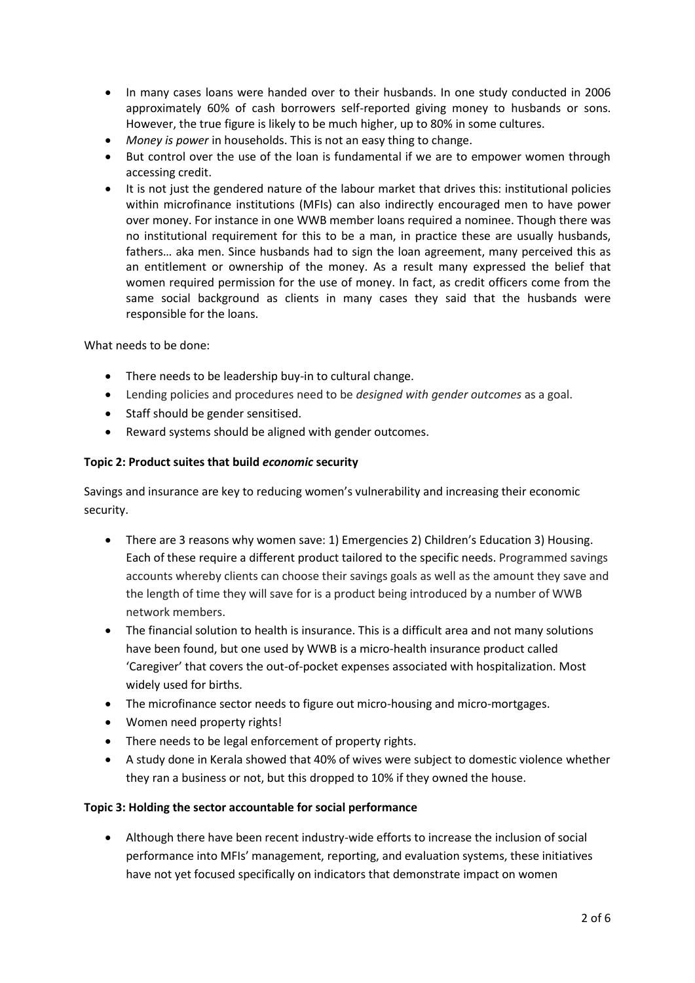- In many cases loans were handed over to their husbands. In one study conducted in 2006 approximately 60% of cash borrowers self-reported giving money to husbands or sons. However, the true figure is likely to be much higher, up to 80% in some cultures.
- *Money is power* in households. This is not an easy thing to change.
- But control over the use of the loan is fundamental if we are to empower women through accessing credit.
- It is not just the gendered nature of the labour market that drives this: institutional policies within microfinance institutions (MFIs) can also indirectly encouraged men to have power over money. For instance in one WWB member loans required a nominee. Though there was no institutional requirement for this to be a man, in practice these are usually husbands, fathers… aka men. Since husbands had to sign the loan agreement, many perceived this as an entitlement or ownership of the money. As a result many expressed the belief that women required permission for the use of money. In fact, as credit officers come from the same social background as clients in many cases they said that the husbands were responsible for the loans.

What needs to be done:

- There needs to be leadership buy-in to cultural change.
- Lending policies and procedures need to be *designed with gender outcomes* as a goal.
- Staff should be gender sensitised.
- Reward systems should be aligned with gender outcomes.

## **Topic 2: Product suites that build** *economic* **security**

Savings and insurance are key to reducing women's vulnerability and increasing their economic security.

- There are 3 reasons why women save: 1) Emergencies 2) Children's Education 3) Housing. Each of these require a different product tailored to the specific needs. Programmed savings accounts whereby clients can choose their savings goals as well as the amount they save and the length of time they will save for is a product being introduced by a number of WWB network members.
- The financial solution to health is insurance. This is a difficult area and not many solutions have been found, but one used by WWB is a micro-health insurance product called 'Caregiver' that covers the out-of-pocket expenses associated with hospitalization. Most widely used for births.
- The microfinance sector needs to figure out micro-housing and micro-mortgages.
- Women need property rights!
- There needs to be legal enforcement of property rights.
- A study done in Kerala showed that 40% of wives were subject to domestic violence whether they ran a business or not, but this dropped to 10% if they owned the house.

## **Topic 3: Holding the sector accountable for social performance**

 Although there have been recent industry-wide efforts to increase the inclusion of social performance into MFIs' management, reporting, and evaluation systems, these initiatives have not yet focused specifically on indicators that demonstrate impact on women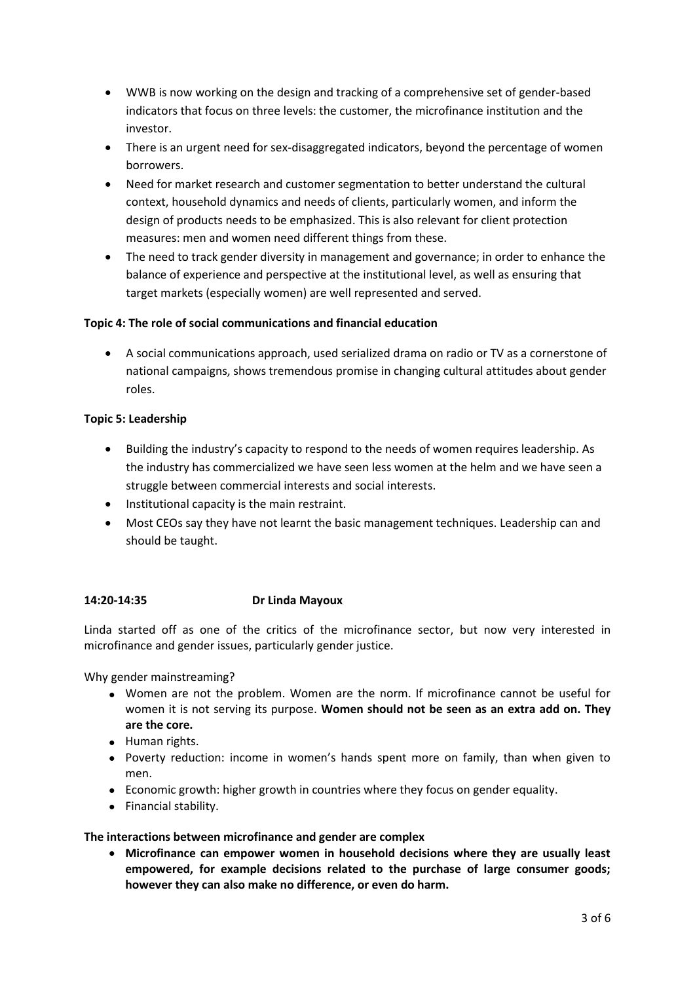- WWB is now working on the design and tracking of a comprehensive set of gender-based indicators that focus on three levels: the customer, the microfinance institution and the investor.
- There is an urgent need for sex-disaggregated indicators, beyond the percentage of women borrowers.
- Need for market research and customer segmentation to better understand the cultural context, household dynamics and needs of clients, particularly women, and inform the design of products needs to be emphasized. This is also relevant for client protection measures: men and women need different things from these.
- The need to track gender diversity in management and governance; in order to enhance the balance of experience and perspective at the institutional level, as well as ensuring that target markets (especially women) are well represented and served.

# **Topic 4: The role of social communications and financial education**

 A social communications approach, used serialized drama on radio or TV as a cornerstone of national campaigns, shows tremendous promise in changing cultural attitudes about gender roles.

## **Topic 5: Leadership**

- Building the industry's capacity to respond to the needs of women requires leadership. As the industry has commercialized we have seen less women at the helm and we have seen a struggle between commercial interests and social interests.
- Institutional capacity is the main restraint.
- Most CEOs say they have not learnt the basic management techniques. Leadership can and should be taught.

# **14:20-14:35 Dr Linda Mayoux**

Linda started off as one of the critics of the microfinance sector, but now very interested in microfinance and gender issues, particularly gender justice.

Why gender mainstreaming?

- Women are not the problem. Women are the norm. If microfinance cannot be useful for women it is not serving its purpose. **Women should not be seen as an extra add on. They are the core.**
- Human rights.
- Poverty reduction: income in women's hands spent more on family, than when given to men.
- Economic growth: higher growth in countries where they focus on gender equality.
- Financial stability.

## **The interactions between microfinance and gender are complex**

 **Microfinance can empower women in household decisions where they are usually least empowered, for example decisions related to the purchase of large consumer goods; however they can also make no difference, or even do harm.**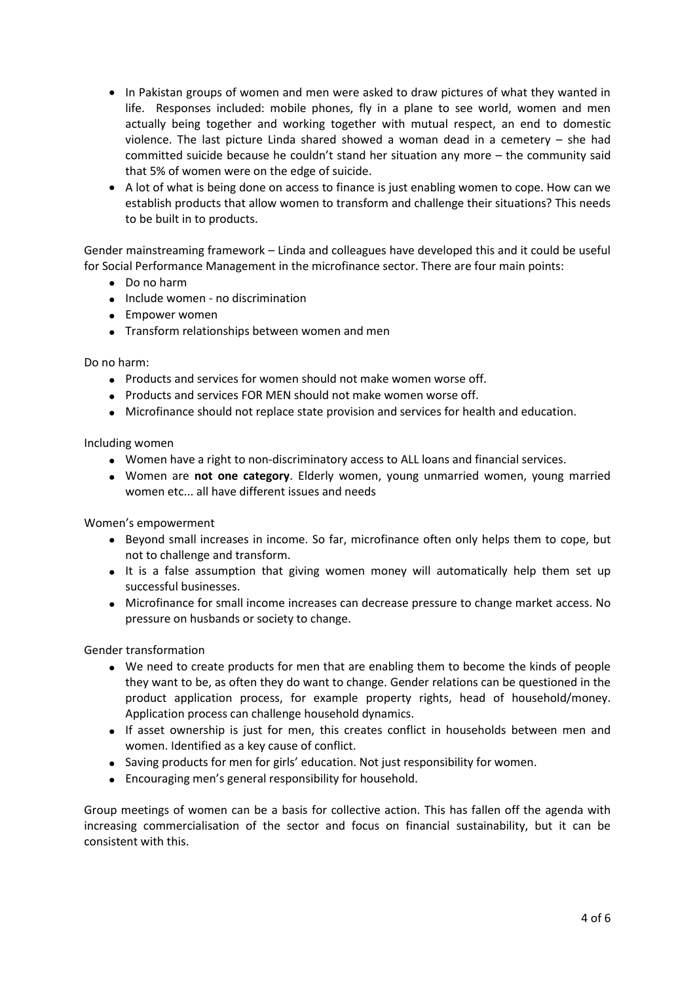- In Pakistan groups of women and men were asked to draw pictures of what they wanted in life. Responses included: mobile phones, fly in a plane to see world, women and men actually being together and working together with mutual respect, an end to domestic violence. The last picture Linda shared showed a woman dead in a cemetery – she had committed suicide because he couldn't stand her situation any more – the community said that 5% of women were on the edge of suicide.
- A lot of what is being done on access to finance is just enabling women to cope. How can we establish products that allow women to transform and challenge their situations? This needs to be built in to products.

Gender mainstreaming framework – Linda and colleagues have developed this and it could be useful for Social Performance Management in the microfinance sector. There are four main points:

- Do no harm
- Include women no discrimination
- Empower women
- Transform relationships between women and men

Do no harm:

- Products and services for women should not make women worse off.
- Products and services FOR MEN should not make women worse off.
- Microfinance should not replace state provision and services for health and education.

Including women

- Women have a right to non-discriminatory access to ALL loans and financial services.
- Women are **not one category**. Elderly women, young unmarried women, young married women etc... all have different issues and needs

Women's empowerment

- Beyond small increases in income. So far, microfinance often only helps them to cope, but not to challenge and transform.
- It is a false assumption that giving women money will automatically help them set up successful businesses.
- Microfinance for small income increases can decrease pressure to change market access. No pressure on husbands or society to change.

Gender transformation

- We need to create products for men that are enabling them to become the kinds of people they want to be, as often they do want to change. Gender relations can be questioned in the product application process, for example property rights, head of household/money. Application process can challenge household dynamics.
- If asset ownership is just for men, this creates conflict in households between men and women. Identified as a key cause of conflict.
- Saving products for men for girls' education. Not just responsibility for women.
- Encouraging men's general responsibility for household.

Group meetings of women can be a basis for collective action. This has fallen off the agenda with increasing commercialisation of the sector and focus on financial sustainability, but it can be consistent with this.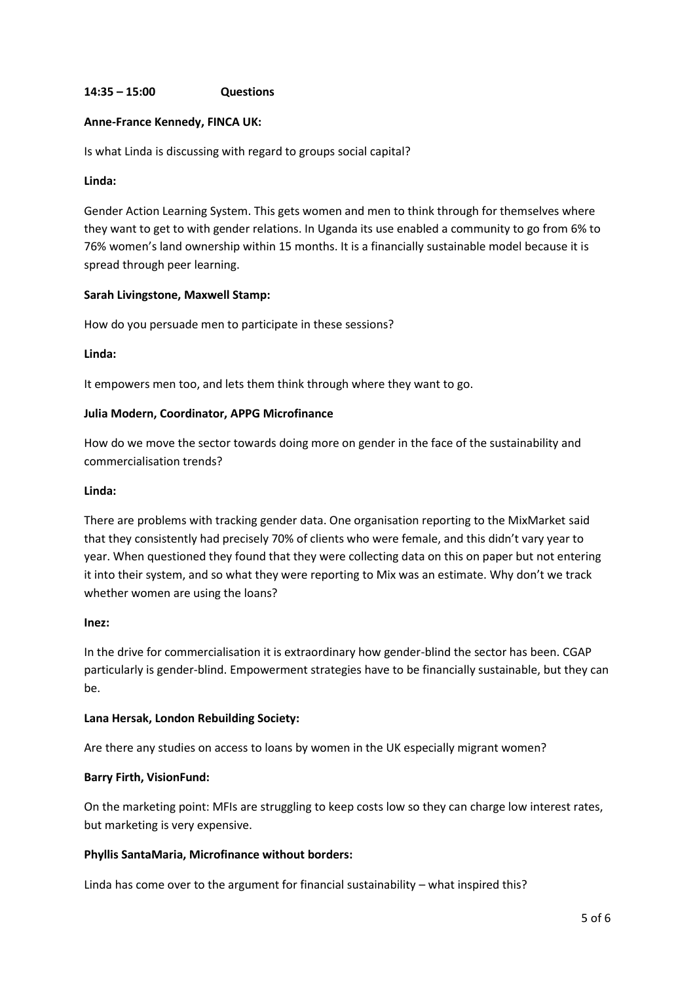### **14:35 – 15:00 Questions**

#### **Anne-France Kennedy, FINCA UK:**

Is what Linda is discussing with regard to groups social capital?

#### **Linda:**

Gender Action Learning System. This gets women and men to think through for themselves where they want to get to with gender relations. In Uganda its use enabled a community to go from 6% to 76% women's land ownership within 15 months. It is a financially sustainable model because it is spread through peer learning.

#### **Sarah Livingstone, Maxwell Stamp:**

How do you persuade men to participate in these sessions?

### **Linda:**

It empowers men too, and lets them think through where they want to go.

#### **Julia Modern, Coordinator, APPG Microfinance**

How do we move the sector towards doing more on gender in the face of the sustainability and commercialisation trends?

#### **Linda:**

There are problems with tracking gender data. One organisation reporting to the MixMarket said that they consistently had precisely 70% of clients who were female, and this didn't vary year to year. When questioned they found that they were collecting data on this on paper but not entering it into their system, and so what they were reporting to Mix was an estimate. Why don't we track whether women are using the loans?

#### **Inez:**

In the drive for commercialisation it is extraordinary how gender-blind the sector has been. CGAP particularly is gender-blind. Empowerment strategies have to be financially sustainable, but they can be.

#### **Lana Hersak, London Rebuilding Society:**

Are there any studies on access to loans by women in the UK especially migrant women?

## **Barry Firth, VisionFund:**

On the marketing point: MFIs are struggling to keep costs low so they can charge low interest rates, but marketing is very expensive.

## **Phyllis SantaMaria, Microfinance without borders:**

Linda has come over to the argument for financial sustainability – what inspired this?